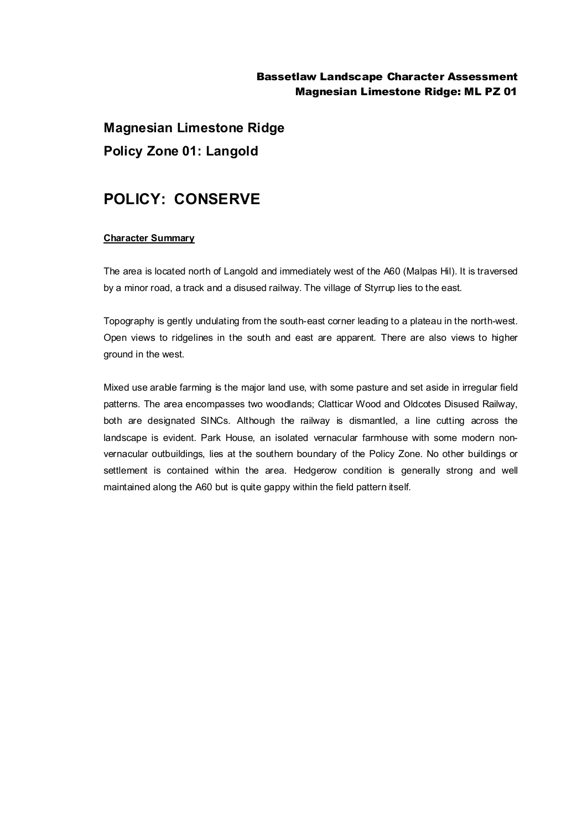## Bassetlaw Landscape Character Assessment Magnesian Limestone Ridge: ML PZ 01

**Magnesian Limestone Ridge Policy Zone 01: Langold**

## **POLICY: CONSERVE**

## **Character Summary**

The area is located north of Langold and immediately west of the A60 (Malpas Hil). It is traversed by a minor road, a track and a disused railway. The village of Styrrup lies to the east.

Topography is gently undulating from the south-east corner leading to a plateau in the north-west. Open views to ridgelines in the south and east are apparent. There are also views to higher ground in the west.

Mixed use arable farming is the major land use, with some pasture and set aside in irregular field patterns. The area encompasses two woodlands; Clatticar Wood and Oldcotes Disused Railway, both are designated SINCs. Although the railway is dismantled, a line cutting across the landscape is evident. Park House, an isolated vernacular farmhouse with some modern nonvernacular outbuildings, lies at the southern boundary of the Policy Zone. No other buildings or settlement is contained within the area. Hedgerow condition is generally strong and well maintained along the A60 but is quite gappy within the field pattern itself.